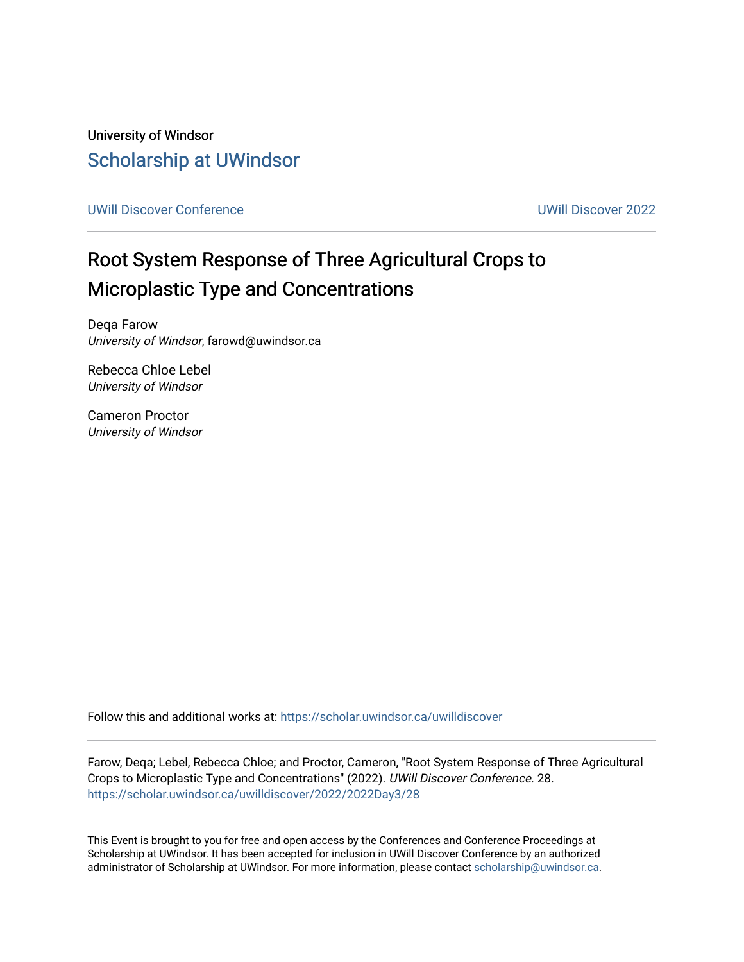University of Windsor [Scholarship at UWindsor](https://scholar.uwindsor.ca/) 

[UWill Discover Conference](https://scholar.uwindsor.ca/uwilldiscover) [UWill Discover 2022](https://scholar.uwindsor.ca/uwilldiscover/2022) 

#### Root System Response of Three Agricultural Crops to Microplastic Type and Concentrations

Deqa Farow University of Windsor, farowd@uwindsor.ca

Rebecca Chloe Lebel University of Windsor

Cameron Proctor University of Windsor

Follow this and additional works at: [https://scholar.uwindsor.ca/uwilldiscover](https://scholar.uwindsor.ca/uwilldiscover?utm_source=scholar.uwindsor.ca%2Fuwilldiscover%2F2022%2F2022Day3%2F28&utm_medium=PDF&utm_campaign=PDFCoverPages) 

Farow, Deqa; Lebel, Rebecca Chloe; and Proctor, Cameron, "Root System Response of Three Agricultural Crops to Microplastic Type and Concentrations" (2022). UWill Discover Conference. 28. [https://scholar.uwindsor.ca/uwilldiscover/2022/2022Day3/28](https://scholar.uwindsor.ca/uwilldiscover/2022/2022Day3/28?utm_source=scholar.uwindsor.ca%2Fuwilldiscover%2F2022%2F2022Day3%2F28&utm_medium=PDF&utm_campaign=PDFCoverPages) 

This Event is brought to you for free and open access by the Conferences and Conference Proceedings at Scholarship at UWindsor. It has been accepted for inclusion in UWill Discover Conference by an authorized administrator of Scholarship at UWindsor. For more information, please contact [scholarship@uwindsor.ca](mailto:scholarship@uwindsor.ca).